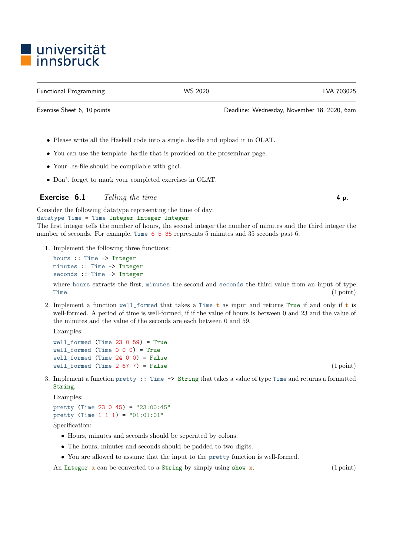## ■ universität<br>■ innsbruck

Functional Programming WS 2020 LVA 703025

- Please write all the Haskell code into a single .hs-file and upload it in OLAT.
- You can use the template .hs-file that is provided on the proseminar page.
- Your .hs-file should be compilable with ghci.
- Don't forget to mark your completed exercises in OLAT.

## **Exercise 6.1** Telling the time  $\blacksquare$

Consider the following datatype representing the time of day:

datatype Time = Time Integer Integer Integer The first integer tells the number of hours, the second integer the number of minutes and the third integer the number of seconds. For example, Time 6 5 35 represents 5 minutes and 35 seconds past 6.

1. Implement the following three functions:

```
hours :: Time -> Integer
minutes :: Time -> Integer
seconds :: Time -> Integer
```
where hours extracts the first, minutes the second and seconds the third value from an input of type Time. (1 point)

2. Implement a function well\_formed that takes a Time  $t$  as input and returns True if and only if  $t$  is well-formed. A period of time is well-formed, if if the value of hours is between 0 and 23 and the value of the minutes and the value of the seconds are each between 0 and 59.

Examples:

```
well_formed (Time 23 0 59) = True
well_formed (Time 0 0 0) = True
well_{formed} (Time 24 0 0) = False
well formed (Time 2 \, 67 \, 7) = False (1 point)
```
3. Implement a function pretty :: Time -> String that takes a value of type Time and returns a formatted String.

Examples:

pretty (Time 23 0 45) = "23:00:45" pretty (Time  $1 1 1$ ) = "01:01:01"

Specification:

- Hours, minutes and seconds should be seperated by colons.
- The hours, minutes and seconds should be padded to two digits.
- You are allowed to assume that the input to the pretty function is well-formed.

An Integer  $x$  can be converted to a String by simply using show  $x$ . (1 point)

Exercise Sheet 6, 10 points Deadline: Wednesday, November 18, 2020, 6am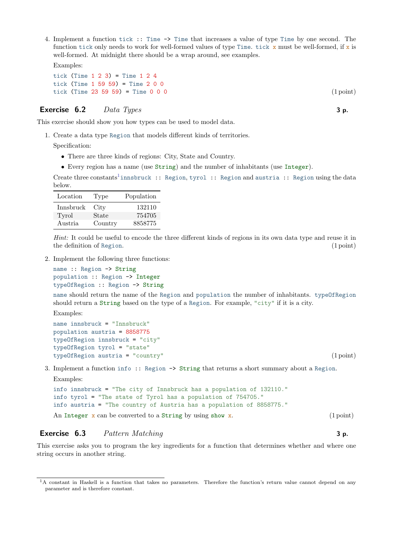4. Implement a function tick :: Time -> Time that increases a value of type Time by one second. The function tick only needs to work for well-formed values of type Time. tick  $x$  must be well-formed, if  $x$  is well-formed. At midnight there should be a wrap around, see examples.

Examples:

tick (Time  $1 \t2 \t3$ ) = Time  $1 \t2 \t4$ tick (Time 1 59 59) = Time 2 0 0 tick (Time 23 59 59) = Time  $0 \t0 \t0$ 

## Exercise  $\mathbf{6.2}$  Data Types 3 p.

This exercise should show you how types can be used to model data.

1. Create a data type Region that models different kinds of territories.

Specification:

- There are three kinds of regions: City, State and Country.
- Every region has a name (use String) and the number of inhabitants (use Integer).

```
1</sup>innsbruck :: Region, tyrol :: Region and austria :: Region using the data
below.
```

| Location  | Type    | Population |
|-----------|---------|------------|
| Innsbruck | City    | 132110     |
| Tyrol     | State   | 754705     |
| Austria   | Country | 8858775    |

Hint: It could be useful to encode the three different kinds of regions in its own data type and reuse it in the definition of Region. (1 point) (1 point)

2. Implement the following three functions:

name :: Region -> String population :: Region -> Integer typeOfRegion :: Region -> String

name should return the name of the Region and population the number of inhabitants. typeOfRegion should return a String based on the type of a Region. For example, "city" if it is a city.

Examples:

```
name innsbruck = "Innsbruck"
population austria = 8858775
typeOfRegion innsbruck = "city"
typeOfRegion tyrol = "state"
typeOfRegion austria = "country" (1 point)
```
3. Implement a function info :: Region -> String that returns a short summary about a Region. Examples:

```
info innsbruck = "The city of Innsbruck has a population of 132110."
info tyrol = "The state of Tyrol has a population of 754705."
info austria = "The country of Austria has a population of 8858775."
```
An Integer  $\bar{x}$  can be converted to a String by using show  $\bar{x}$ . (1 point)

## Exercise 6.3 Pattern Matching 3 p.

This exercise asks you to program the key ingredients for a function that determines whether and where one string occurs in another string.

<span id="page-1-0"></span><sup>&</sup>lt;sup>1</sup>A constant in Haskell is a function that takes no parameters. Therefore the function's return value cannot depend on any parameter and is therefore constant.